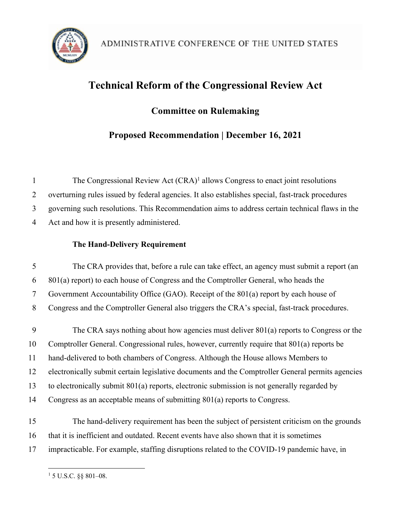

# **Technical Reform of the Congressional Review Act**

# **Committee on Rulemaking**

**Proposed Recommendation | December 16, 2021**

The Congressional Review Act  $(CRA)^1$  allows Congress to enact joint resolutions overturning rules issued by federal agencies. It also establishes special, fast-track procedures governing such resolutions. This Recommendation aims to address certain technical flaws in the Act and how it is presently administered.

#### **The Hand-Delivery Requirement**

 The CRA provides that, before a rule can take effect, an agency must submit a report (an 801(a) report) to each house of Congress and the Comptroller General, who heads the Government Accountability Office (GAO). Receipt of the 801(a) report by each house of Congress and the Comptroller General also triggers the CRA's special, fast-track procedures. The CRA says nothing about how agencies must deliver 801(a) reports to Congress or the Comptroller General. Congressional rules, however, currently require that 801(a) reports be hand-delivered to both chambers of Congress. Although the House allows Members to electronically submit certain legislative documents and the Comptroller General permits agencies to electronically submit 801(a) reports, electronic submission is not generally regarded by Congress as an acceptable means of submitting 801(a) reports to Congress. The hand-delivery requirement has been the subject of persistent criticism on the grounds that it is inefficient and outdated. Recent events have also shown that it is sometimes

impracticable. For example, staffing disruptions related to the COVID-19 pandemic have, in

5 U.S.C. §§ 801–08.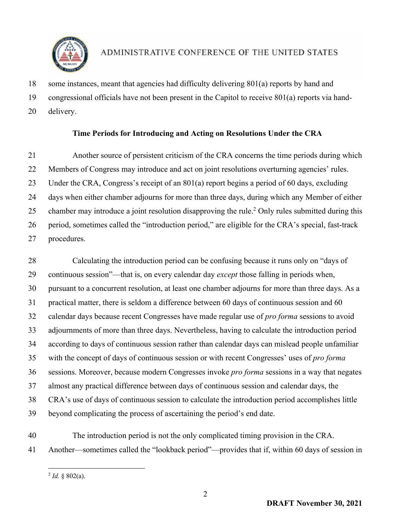

- some instances, meant that agencies had difficulty delivering 801(a) reports by hand and
- congressional officials have not been present in the Capitol to receive 801(a) reports via hand-
- delivery.

#### **Time Periods for Introducing and Acting on Resolutions Under the CRA**

 Another source of persistent criticism of the CRA concerns the time periods during which Members of Congress may introduce and act on joint resolutions overturning agencies' rules. Under the CRA, Congress's receipt of an 801(a) report begins a period of 60 days, excluding days when either chamber adjourns for more than three days, during which any Member of either 25 chamber may introduce a joint resolution disapproving the rule.<sup>2</sup> Only rules submitted during this period, sometimes called the "introduction period," are eligible for the CRA's special, fast-track procedures.

 Calculating the introduction period can be confusing because it runs only on "days of continuous session"—that is, on every calendar day *except* those falling in periods when, pursuant to a concurrent resolution, at least one chamber adjourns for more than three days. As a practical matter, there is seldom a difference between 60 days of continuous session and 60 calendar days because recent Congresses have made regular use of *pro forma* sessions to avoid adjournments of more than three days. Nevertheless, having to calculate the introduction period according to days of continuous session rather than calendar days can mislead people unfamiliar with the concept of days of continuous session or with recent Congresses' uses of *pro forma*  sessions. Moreover, because modern Congresses invoke *pro forma* sessions in a way that negates almost any practical difference between days of continuous session and calendar days, the CRA's use of days of continuous session to calculate the introduction period accomplishes little beyond complicating the process of ascertaining the period's end date.

 The introduction period is not the only complicated timing provision in the CRA. Another—sometimes called the "lookback period"—provides that if, within 60 days of session in

 $^{2}$  *Id.* § 802(a).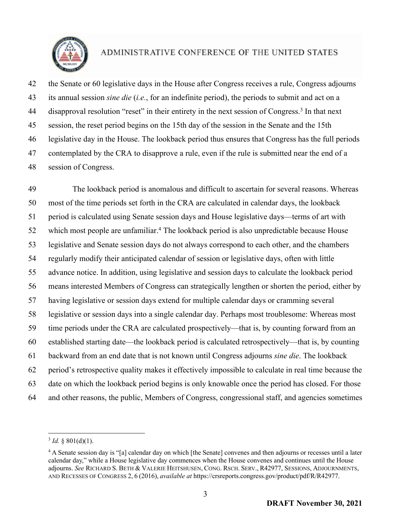

 the Senate or 60 legislative days in the House after Congress receives a rule, Congress adjourns its annual session *sine die* (*i.e.*, for an indefinite period), the periods to submit and act on a 44 disapproval resolution "reset" in their entirety in the next session of Congress.<sup>3</sup> In that next session, the reset period begins on the 15th day of the session in the Senate and the 15th legislative day in the House. The lookback period thus ensures that Congress has the full periods 47 contemplated by the CRA to disapprove a rule, even if the rule is submitted near the end of a session of Congress.

 The lookback period is anomalous and difficult to ascertain for several reasons. Whereas most of the time periods set forth in the CRA are calculated in calendar days, the lookback period is calculated using Senate session days and House legislative days—terms of art with 52 which most people are unfamiliar.<sup>4</sup> The lookback period is also unpredictable because House legislative and Senate session days do not always correspond to each other, and the chambers regularly modify their anticipated calendar of session or legislative days, often with little advance notice. In addition, using legislative and session days to calculate the lookback period means interested Members of Congress can strategically lengthen or shorten the period, either by having legislative or session days extend for multiple calendar days or cramming several legislative or session days into a single calendar day. Perhaps most troublesome: Whereas most time periods under the CRA are calculated prospectively—that is, by counting forward from an established starting date—the lookback period is calculated retrospectively—that is, by counting backward from an end date that is not known until Congress adjourns *sine die*. The lookback period's retrospective quality makes it effectively impossible to calculate in real time because the date on which the lookback period begins is only knowable once the period has closed. For those and other reasons, the public, Members of Congress, congressional staff, and agencies sometimes

*Id.* § 801(d)(1).

<sup>&</sup>lt;sup>4</sup> A Senate session day is "[a] calendar day on which [the Senate] convenes and then adjourns or recesses until a later calendar day," while a House legislative day commences when the House convenes and continues until the House adjourns. *See* RICHARD S. BETH & VALERIE HEITSHUSEN, CONG. RSCH. SERV., R42977, SESSIONS, ADJOURNMENTS, AND RECESSES OF CONGRESS 2, 6 (2016), *available at* https://crsreports.congress.gov/product/pdf/R/R42977.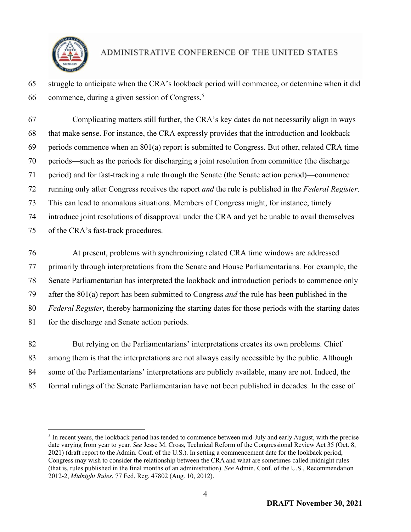

 struggle to anticipate when the CRA's lookback period will commence, or determine when it did 66 commence, during a given session of Congress.<sup>5</sup>

 Complicating matters still further, the CRA's key dates do not necessarily align in ways that make sense. For instance, the CRA expressly provides that the introduction and lookback periods commence when an 801(a) report is submitted to Congress. But other, related CRA time periods—such as the periods for discharging a joint resolution from committee (the discharge period) and for fast-tracking a rule through the Senate (the Senate action period)—commence running only after Congress receives the report *and* the rule is published in the *Federal Register*. This can lead to anomalous situations. Members of Congress might, for instance, timely introduce joint resolutions of disapproval under the CRA and yet be unable to avail themselves of the CRA's fast-track procedures.

 At present, problems with synchronizing related CRA time windows are addressed primarily through interpretations from the Senate and House Parliamentarians. For example, the Senate Parliamentarian has interpreted the lookback and introduction periods to commence only after the 801(a) report has been submitted to Congress *and* the rule has been published in the *Federal Register*, thereby harmonizing the starting dates for those periods with the starting dates 81 for the discharge and Senate action periods.

 But relying on the Parliamentarians' interpretations creates its own problems. Chief among them is that the interpretations are not always easily accessible by the public. Although some of the Parliamentarians' interpretations are publicly available, many are not. Indeed, the formal rulings of the Senate Parliamentarian have not been published in decades. In the case of

<sup>&</sup>lt;sup>5</sup> In recent years, the lookback period has tended to commence between mid-July and early August, with the precise date varying from year to year. *See* Jesse M. Cross, Technical Reform of the Congressional Review Act 35 (Oct. 8, 2021) (draft report to the Admin. Conf. of the U.S.). In setting a commencement date for the lookback period, Congress may wish to consider the relationship between the CRA and what are sometimes called midnight rules (that is, rules published in the final months of an administration). *See* Admin. Conf. of the U.S., Recommendation 2012-2, *Midnight Rules*, 77 Fed. Reg. 47802 (Aug. 10, 2012).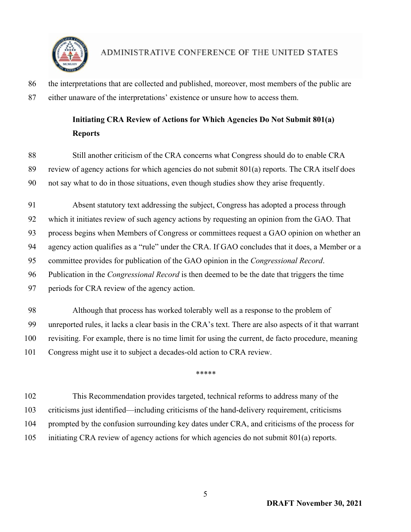

- the interpretations that are collected and published, moreover, most members of the public are
- either unaware of the interpretations' existence or unsure how to access them.

# **Initiating CRA Review of Actions for Which Agencies Do Not Submit 801(a) Reports**

 Still another criticism of the CRA concerns what Congress should do to enable CRA review of agency actions for which agencies do not submit 801(a) reports. The CRA itself does not say what to do in those situations, even though studies show they arise frequently.

 Absent statutory text addressing the subject, Congress has adopted a process through which it initiates review of such agency actions by requesting an opinion from the GAO. That process begins when Members of Congress or committees request a GAO opinion on whether an agency action qualifies as a "rule" under the CRA. If GAO concludes that it does, a Member or a committee provides for publication of the GAO opinion in the *Congressional Record*. Publication in the *Congressional Record* is then deemed to be the date that triggers the time periods for CRA review of the agency action.

 Although that process has worked tolerably well as a response to the problem of unreported rules, it lacks a clear basis in the CRA's text. There are also aspects of it that warrant revisiting. For example, there is no time limit for using the current, de facto procedure, meaning Congress might use it to subject a decades-old action to CRA review.

*\*\*\*\*\**

 This Recommendation provides targeted, technical reforms to address many of the criticisms just identified—including criticisms of the hand-delivery requirement, criticisms prompted by the confusion surrounding key dates under CRA, and criticisms of the process for initiating CRA review of agency actions for which agencies do not submit 801(a) reports.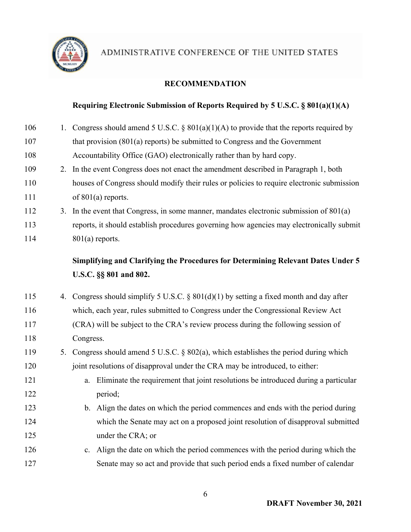

#### **RECOMMENDATION**

#### **Requiring Electronic Submission of Reports Required by 5 U.S.C. § 801(a)(1)(A)**

106 1. Congress should amend 5 U.S.C.  $\S 801(a)(1)(A)$  to provide that the reports required by that provision (801(a) reports) be submitted to Congress and the Government 108 Accountability Office (GAO) electronically rather than by hard copy. 2. In the event Congress does not enact the amendment described in Paragraph 1, both houses of Congress should modify their rules or policies to require electronic submission 111 of 801(a) reports. 3. In the event that Congress, in some manner, mandates electronic submission of 801(a) reports, it should establish procedures governing how agencies may electronically submit 114 801(a) reports. **Simplifying and Clarifying the Procedures for Determining Relevant Dates Under 5 U.S.C. §§ 801 and 802.** 4. Congress should simplify 5 U.S.C. § 801(d)(1) by setting a fixed month and day after which, each year, rules submitted to Congress under the Congressional Review Act (CRA) will be subject to the CRA's review process during the following session of Congress. 5. Congress should amend 5 U.S.C. § 802(a), which establishes the period during which 120 joint resolutions of disapproval under the CRA may be introduced, to either: a. Eliminate the requirement that joint resolutions be introduced during a particular 122 period; b. Align the dates on which the period commences and ends with the period during which the Senate may act on a proposed joint resolution of disapproval submitted 125 under the CRA; or c. Align the date on which the period commences with the period during which the Senate may so act and provide that such period ends a fixed number of calendar